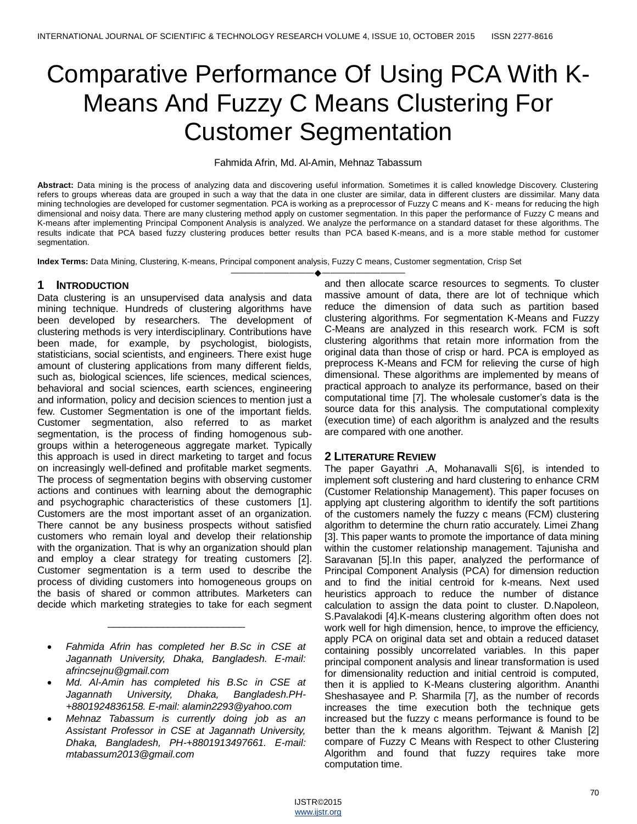# Comparative Performance Of Using PCA With K-Means And Fuzzy C Means Clustering For Customer Segmentation

#### Fahmida Afrin, Md. Al-Amin, Mehnaz Tabassum

**Abstract:** Data mining is the process of analyzing data and discovering useful information. Sometimes it is called knowledge Discovery. Clustering refers to groups whereas data are grouped in such a way that the data in one cluster are similar, data in different clusters are dissimilar. Many data mining technologies are developed for customer segmentation. PCA is working as a preprocessor of Fuzzy C means and K- means for reducing the high dimensional and noisy data. There are many clustering method apply on customer segmentation. In this paper the performance of Fuzzy C means and K-means after implementing Principal Component Analysis is analyzed. We analyze the performance on a standard dataset for these algorithms. The results indicate that PCA based fuzzy clustering produces better results than PCA based K-means, and is a more stable method for customer segmentation.

**Index Terms:** Data Mining, Clustering, K-means, Principal component analysis, Fuzzy C means, Customer segmentation, Crisp Set

## **1 INTRODUCTION**

Data clustering is an unsupervised data analysis and data mining technique. Hundreds of clustering algorithms have been developed by researchers. The development of clustering methods is very interdisciplinary. Contributions have been made, for example, by psychologist, biologists, statisticians, social scientists, and engineers. There exist huge amount of clustering applications from many different fields, such as, biological sciences, life sciences, medical sciences, behavioral and social sciences, earth sciences, engineering and information, policy and decision sciences to mention just a few. Customer Segmentation is one of the important fields. Customer segmentation, also referred to as market segmentation, is the process of finding homogenous subgroups within a heterogeneous aggregate market. Typically this approach is used in direct marketing to target and focus on increasingly well-defined and profitable market segments. The process of segmentation begins with observing customer actions and continues with learning about the demographic and psychographic characteristics of these customers [1]. Customers are the most important asset of an organization. There cannot be any business prospects without satisfied customers who remain loyal and develop their relationship with the organization. That is why an organization should plan and employ a clear strategy for treating customers [2]. Customer segmentation is a term used to describe the process of dividing customers into homogeneous groups on the basis of shared or common attributes. Marketers can decide which marketing strategies to take for each segment

 *Fahmida Afrin has completed her B.Sc in CSE at Jagannath University, Dhaka, Bangladesh. E-mail: afrincsejnu@gmail.com*

\_\_\_\_\_\_\_\_\_\_\_\_\_\_\_\_\_\_\_\_\_\_\_\_\_

- *Md. Al-Amin has completed his B.Sc in CSE at Jagannath University, Dhaka, Bangladesh.PH- +8801924836158. E-mail: alamin2293@yahoo.com*
- *Mehnaz Tabassum is currently doing job as an Assistant Professor in CSE at Jagannath University, Dhaka, Bangladesh, PH-+8801913497661. E-mail: mtabassum2013@gmail.com*

——————————————————— and then allocate scarce resources to segments. To cluster massive amount of data, there are lot of technique which reduce the dimension of data such as partition based clustering algorithms. For segmentation K-Means and Fuzzy C-Means are analyzed in this research work. FCM is soft clustering algorithms that retain more information from the original data than those of crisp or hard. PCA is employed as preprocess K-Means and FCM for relieving the curse of high dimensional. These algorithms are implemented by means of practical approach to analyze its performance, based on their computational time [7]. The wholesale customer's data is the source data for this analysis. The computational complexity (execution time) of each algorithm is analyzed and the results are compared with one another.

## **2 LITERATURE REVIEW**

The paper Gayathri .A, Mohanavalli S[6], is intended to implement soft clustering and hard clustering to enhance CRM (Customer Relationship Management). This paper focuses on applying apt clustering algorithm to identify the soft partitions of the customers namely the fuzzy c means (FCM) clustering algorithm to determine the churn ratio accurately. Limei Zhang [3]. This paper wants to promote the importance of data mining within the customer relationship management. Tajunisha and Saravanan [5].In this paper, analyzed the performance of Principal Component Analysis (PCA) for dimension reduction and to find the initial centroid for k-means. Next used heuristics approach to reduce the number of distance calculation to assign the data point to cluster. D.Napoleon, S.Pavalakodi [4].K-means clustering algorithm often does not work well for high dimension, hence, to improve the efficiency, apply PCA on original data set and obtain a reduced dataset containing possibly uncorrelated variables. In this paper principal component analysis and linear transformation is used for dimensionality reduction and initial centroid is computed, then it is applied to K-Means clustering algorithm. Ananthi Sheshasayee and P. Sharmila [7], as the number of records increases the time execution both the technique gets increased but the fuzzy c means performance is found to be better than the k means algorithm. Tejwant & Manish [2] compare of Fuzzy C Means with Respect to other Clustering Algorithm and found that fuzzy requires take more computation time.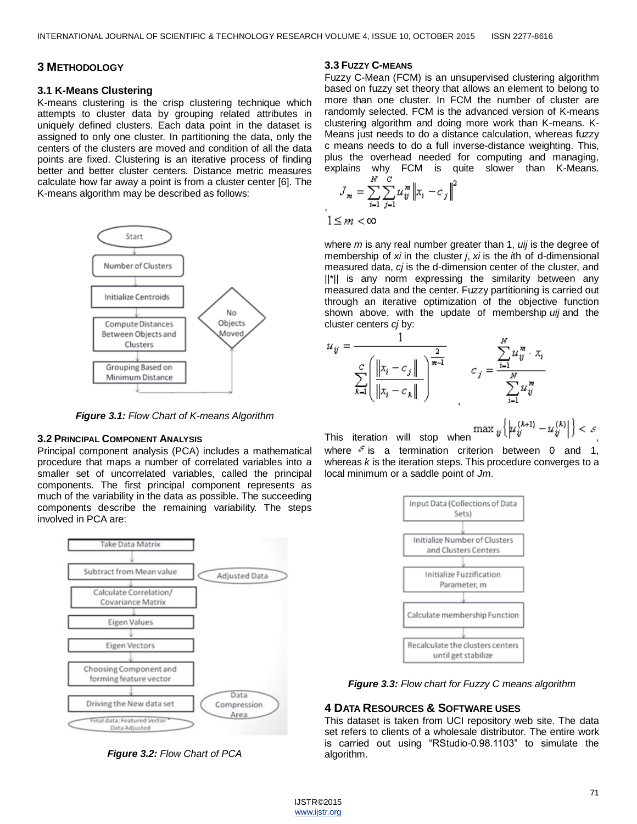# **3 METHODOLOGY**

#### **3.1 K-Means Clustering**

K-means clustering is the crisp clustering technique which attempts to cluster data by grouping related attributes in uniquely defined clusters. Each data point in the dataset is assigned to only one cluster. In partitioning the data, only the centers of the clusters are moved and condition of all the data points are fixed. Clustering is an iterative process of finding better and better cluster centers. Distance metric measures calculate how far away a point is from a cluster center [6]. The K-means algorithm may be described as follows:



*Figure 3.1: Flow Chart of K-means Algorithm*

#### **3.2 PRINCIPAL COMPONENT ANALYSIS**

Principal component analysis (PCA) includes a mathematical procedure that maps a number of correlated variables into a smaller set of uncorrelated variables, called the principal components. The first principal component represents as much of the variability in the data as possible. The succeeding components describe the remaining variability. The steps involved in PCA are:



*Figure 3.2: Flow Chart of PCA*

#### **3.3 FUZZY C-MEANS**

Fuzzy C-Mean (FCM) is an unsupervised clustering algorithm based on fuzzy set theory that allows an element to belong to more than one cluster. In FCM the number of cluster are randomly selected. FCM is the advanced version of K-means clustering algorithm and doing more work than K-means. K-Means just needs to do a distance calculation, whereas fuzzy c means needs to do a full inverse-distance weighting. This, plus the overhead needed for computing and managing, explains why FCM is quite slower than K-Means.

$$
J_{m} = \sum_{i=1}^{N} \sum_{j=1}^{C} u_{ij}^{m} ||x_{i} - c_{j}||^{2}
$$

,

where *m* is any real number greater than 1, *uij* is the degree of membership of *xi* in the cluster *j*, *xi* is the *i*th of d-dimensional measured data, *cj* is the d-dimension center of the cluster, and ||\*|| is any norm expressing the similarity between any measured data and the center. Fuzzy partitioning is carried out through an iterative optimization of the objective function shown above, with the update of membership *uij* and the cluster centers *cj* by:



This iteration will stop when  $\max_{y} \left\{ \left| u_{ij}^{(k+1)} - u_{ij}^{(k)} \right| \right\}$ where  $\epsilon$  is a termination criterion between 0 and 1, whereas *k* is the iteration steps. This procedure converges to a local minimum or a saddle point of *Jm*.



*Figure 3.3: Flow chart for Fuzzy C means algorithm*

## **4 DATA RESOURCES & SOFTWARE USES**

This dataset is taken from UCI repository web site. The data set refers to clients of a wholesale distributor. The entire work is carried out using "RStudio-0.98.1103" to simulate the algorithm.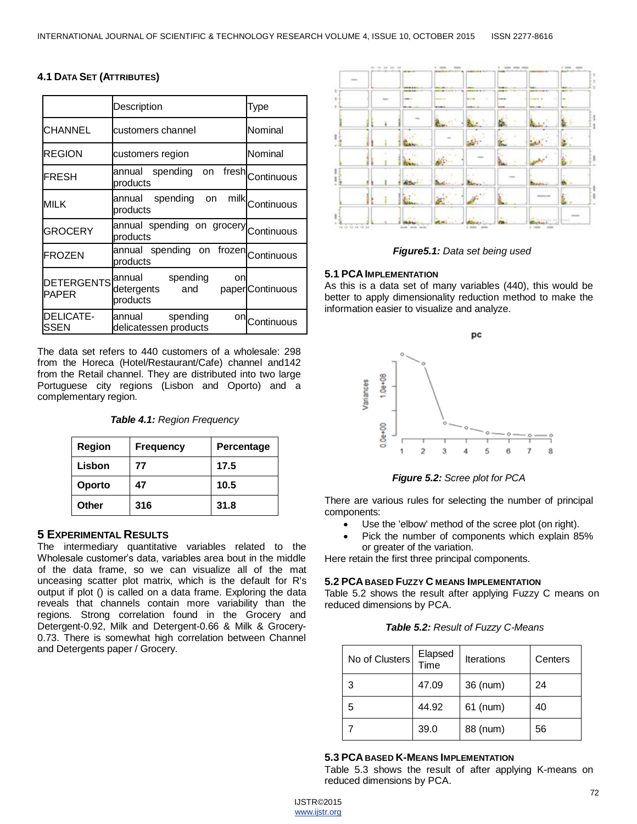## **4.1 DATA SET (ATTRIBUTES)**

|                                   | Description                                               | Type             |  |
|-----------------------------------|-----------------------------------------------------------|------------------|--|
| <b>CHANNEL</b>                    | customers channel                                         | Nominal          |  |
| <b>REGION</b>                     | customers region                                          | Nominal          |  |
| <b>FRESH</b>                      | fresh<br>annual spending on<br>products                   | Continuous       |  |
| <b>MILK</b>                       | annual spending<br>milk<br>on<br>products                 | Continuous       |  |
| <b>GROCERY</b>                    | annual spending on grocery<br>products                    | Continuous       |  |
| <b>FROZEN</b>                     | annual spending on frozen Continuous<br>products          |                  |  |
| <b>DETERGENTS</b><br><b>PAPER</b> | spending<br>annual<br>on<br>and<br>detergents<br>products | paper Continuous |  |
| DELICATE-<br>SSEN                 | spending<br>annual<br>on<br>delicatessen products         | Continuous       |  |

The data set refers to 440 customers of a wholesale: 298 from the Horeca (Hotel/Restaurant/Cafe) channel and142 from the Retail channel. They are distributed into two large Portuguese city regions (Lisbon and Oporto) and a complementary region.

| <b>Region</b> | <b>Frequency</b> | Percentage |  |
|---------------|------------------|------------|--|
| Lisbon        | 77               | 17.5       |  |
| Oporto        | 47               | 10.5       |  |
| Other         | 316              | 31.8       |  |

## **5 EXPERIMENTAL RESULTS**

The intermediary quantitative variables related to the Wholesale customer's data, variables area bout in the middle of the data frame, so we can visualize all of the mat unceasing scatter plot matrix, which is the default for R's output if plot () is called on a data frame. Exploring the data reveals that channels contain more variability than the regions. Strong correlation found in the Grocery and Detergent-0.92, Milk and Detergent-0.66 & Milk & Grocery-0.73. There is somewhat high correlation between Channel and Detergents paper / Grocery.



*Figure5.1: Data set being used*

#### **5.1 PCAIMPLEMENTATION**

As this is a data set of many variables (440), this would be better to apply dimensionality reduction method to make the information easier to visualize and analyze.



*Figure 5.2: Scree plot for PCA*

There are various rules for selecting the number of principal components:

- Use the 'elbow' method of the scree plot (on right).
- Pick the number of components which explain 85% or greater of the variation.

Here retain the first three principal components.

#### **5.2 PCABASED FUZZY C MEANS IMPLEMENTATION**

Table 5.2 shows the result after applying Fuzzy C means on reduced dimensions by PCA.

| Table 5.2: Result of Fuzzy C-Means |  |  |  |
|------------------------------------|--|--|--|
|------------------------------------|--|--|--|

| No of Clusters | Elapsed<br>Time | <b>Iterations</b> | Centers |
|----------------|-----------------|-------------------|---------|
| 3              | 47.09           | 36 (num)          | 24      |
| 5              | 44.92           | $61$ (num)        | 40      |
|                | 39.0            | 88 (num)          | 56      |

#### **5.3 PCABASED K-MEANS IMPLEMENTATION**

Table 5.3 shows the result of after applying K-means on reduced dimensions by PCA.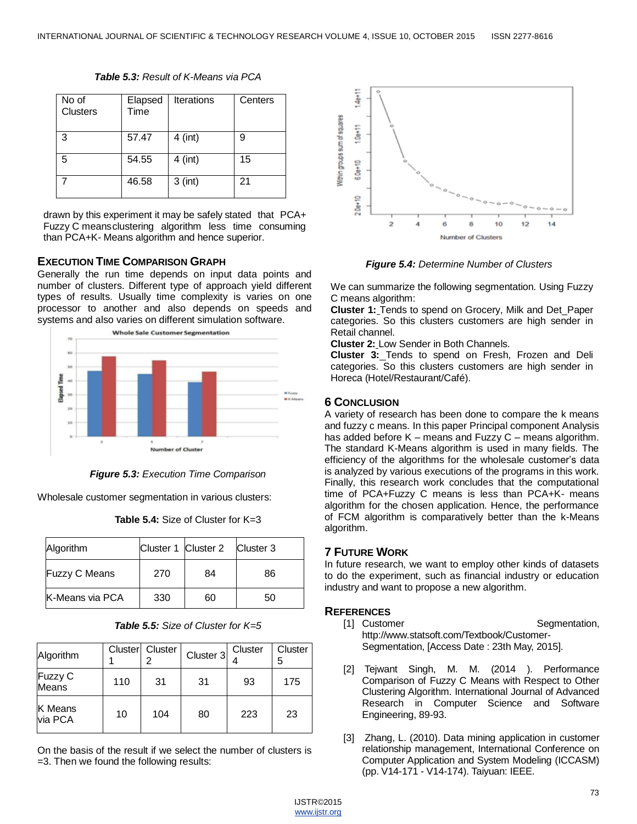| No of<br>Clusters | Elapsed<br>Time | <b>Iterations</b> | Centers |
|-------------------|-----------------|-------------------|---------|
| 3                 | 57.47           | $4$ (int)         | 9       |
| .5                | 54.55           | $4$ (int)         | 15      |
|                   | 46.58           | $3$ (int)         | 21      |

*Table 5.3: Result of K-Means via PCA*

drawn by this experiment it may be safely stated that PCA+ Fuzzy C meansclustering algorithm less time consuming than PCA+K- Means algorithm and hence superior.

## **EXECUTION TIME COMPARISON GRAPH**

Generally the run time depends on input data points and number of clusters. Different type of approach yield different types of results. Usually time complexity is varies on one processor to another and also depends on speeds and systems and also varies on different simulation software.



*Figure 5.3: Execution Time Comparison*

Wholesale customer segmentation in various clusters:

| <b>Table 5.4:</b> Size of Cluster for $K=3$ |
|---------------------------------------------|
|---------------------------------------------|

| Algorithm            |     | Cluster 1 Cluster 2 Cluster 3 |    |
|----------------------|-----|-------------------------------|----|
| <b>Fuzzy C Means</b> | 270 | 84                            | 86 |
| K-Means via PCA      | 330 | 60                            | 50 |

*Table 5.5: Size of Cluster for K=5*

| Algorithm               |     | Cluster Cluster | Cluster 3 | Cluster | Cluster<br>5 |
|-------------------------|-----|-----------------|-----------|---------|--------------|
| Fuzzy C<br><b>Means</b> | 110 | 31              | 31        | 93      | 175          |
| K Means<br>via PCA      | 10  | 104             | 80        | 223     | 23           |

On the basis of the result if we select the number of clusters is =3. Then we found the following results:



*Figure 5.4: Determine Number of Clusters*

We can summarize the following segmentation. Using Fuzzy C means algorithm:

**Cluster 1:** Tends to spend on Grocery, Milk and Det\_Paper categories. So this clusters customers are high sender in Retail channel.

**Cluster 2:** Low Sender in Both Channels.

**Cluster 3:** Tends to spend on Fresh, Frozen and Deli categories. So this clusters customers are high sender in Horeca (Hotel/Restaurant/Café).

# **6 CONCLUSION**

A variety of research has been done to compare the k means and fuzzy c means. In this paper Principal component Analysis has added before K – means and Fuzzy C – means algorithm. The standard K-Means algorithm is used in many fields. The efficiency of the algorithms for the wholesale customer's data is analyzed by various executions of the programs in this work. Finally, this research work concludes that the computational time of PCA+Fuzzy C means is less than PCA+K- means algorithm for the chosen application. Hence, the performance of FCM algorithm is comparatively better than the k-Means algorithm.

## **7 FUTURE WORK**

In future research, we want to employ other kinds of datasets to do the experiment, such as financial industry or education industry and want to propose a new algorithm.

## **REFERENCES**

- [1] Customer Segmentation, <http://www.statsoft.com/Textbook/Customer->Segmentation, [Access Date : 23th May, 2015].
- [2] Tejwant Singh, M. M. (2014 ). Performance Comparison of Fuzzy C Means with Respect to Other Clustering Algorithm. International Journal of Advanced Research in Computer Science and Software Engineering, 89-93.
- [3] Zhang, L. (2010). Data mining application in customer relationship management, International Conference on Computer Application and System Modeling (ICCASM) (pp. V14-171 - V14-174). Taiyuan: IEEE.